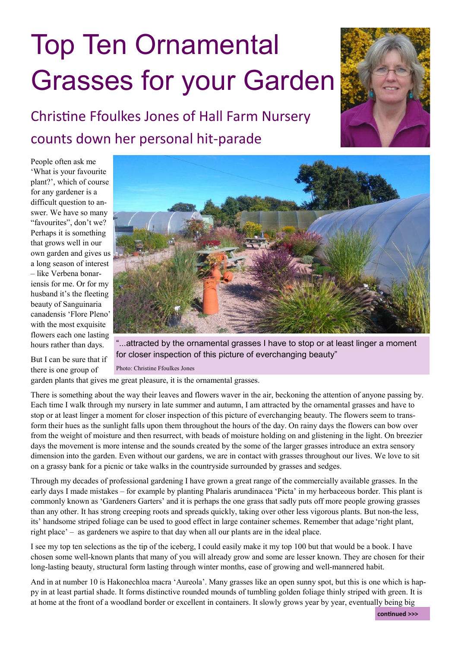## Top Ten Ornamental Grasses for your Garden



## Christine Ffoulkes Jones of Hall Farm Nursery counts down her personal hit-parade

People often ask me 'What is your favourite plant?', which of course for any gardener is a difficult question to answer. We have so many "favourites", don't we? Perhaps it is something that grows well in our own garden and gives us a long season of interest – like Verbena bonariensis for me. Or for my husband it's the fleeting beauty of Sanguinaria canadensis 'Flore Pleno' with the most exquisite flowers each one lasting hours rather than days.



But I can be sure that if there is one group of

"...attracted by the ornamental grasses I have to stop or at least linger a moment for closer inspection of this picture of everchanging beauty"

Photo: Christine Ffoulkes Jones

garden plants that gives me great pleasure, it is the ornamental grasses.

There is something about the way their leaves and flowers waver in the air, beckoning the attention of anyone passing by. Each time I walk through my nursery in late summer and autumn, I am attracted by the ornamental grasses and have to stop or at least linger a moment for closer inspection of this picture of everchanging beauty. The flowers seem to transform their hues as the sunlight falls upon them throughout the hours of the day. On rainy days the flowers can bow over from the weight of moisture and then resurrect, with beads of moisture holding on and glistening in the light. On breezier days the movement is more intense and the sounds created by the some of the larger grasses introduce an extra sensory dimension into the garden. Even without our gardens, we are in contact with grasses throughout our lives. We love to sit on a grassy bank for a picnic or take walks in the countryside surrounded by grasses and sedges.

Through my decades of professional gardening I have grown a great range of the commercially available grasses. In the early days I made mistakes – for example by planting Phalaris arundinacea 'Picta' in my herbaceous border. This plant is commonly known as 'Gardeners Garters' and it is perhaps the one grass that sadly puts off more people growing grasses than any other. It has strong creeping roots and spreads quickly, taking over other less vigorous plants. But non-the less, its' handsome striped foliage can be used to good effect in large container schemes. Remember that adage 'right plant, right place' – as gardeners we aspire to that day when all our plants are in the ideal place.

I see my top ten selections as the tip of the iceberg, I could easily make it my top 100 but that would be a book. I have chosen some well-known plants that many of you will already grow and some are lesser known. They are chosen for their long-lasting beauty, structural form lasting through winter months, ease of growing and well-mannered habit.

And in at number 10 is Hakonechloa macra 'Aureola'. Many grasses like an open sunny spot, but this is one which is happy in at least partial shade. It forms distinctive rounded mounds of tumbling golden foliage thinly striped with green. It is at home at the front of a woodland border or excellent in containers. It slowly grows year by year, eventually being big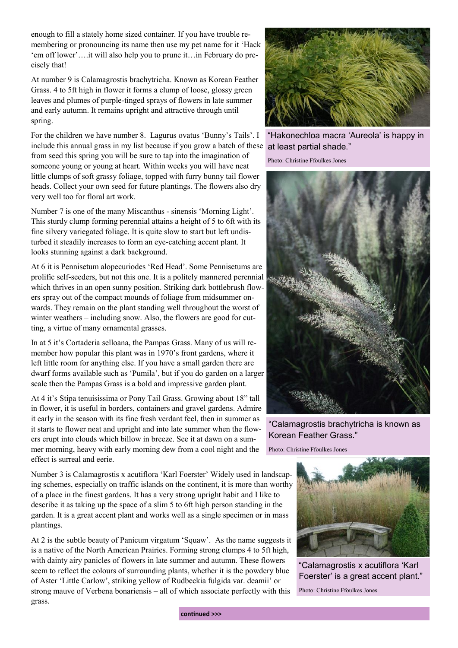enough to fill a stately home sized container. If you have trouble remembering or pronouncing its name then use my pet name for it 'Hack 'em off lower'….it will also help you to prune it…in February do precisely that!

At number 9 is Calamagrostis brachytricha. Known as Korean Feather Grass. 4 to 5ft high in flower it forms a clump of loose, glossy green leaves and plumes of purple-tinged sprays of flowers in late summer and early autumn. It remains upright and attractive through until spring.

For the children we have number 8. Lagurus ovatus 'Bunny's Tails'. I include this annual grass in my list because if you grow a batch of these from seed this spring you will be sure to tap into the imagination of someone young or young at heart. Within weeks you will have neat little clumps of soft grassy foliage, topped with furry bunny tail flower heads. Collect your own seed for future plantings. The flowers also dry very well too for floral art work.

Number 7 is one of the many Miscanthus - sinensis 'Morning Light'. This sturdy clump forming perennial attains a height of 5 to 6ft with its fine silvery variegated foliage. It is quite slow to start but left undisturbed it steadily increases to form an eye-catching accent plant. It looks stunning against a dark background.

At 6 it is Pennisetum alopecuriodes 'Red Head'. Some Pennisetums are prolific self-seeders, but not this one. It is a politely mannered perennial which thrives in an open sunny position. Striking dark bottlebrush flowers spray out of the compact mounds of foliage from midsummer onwards. They remain on the plant standing well throughout the worst of winter weathers – including snow. Also, the flowers are good for cutting, a virtue of many ornamental grasses.

In at 5 it's Cortaderia selloana, the Pampas Grass. Many of us will remember how popular this plant was in 1970's front gardens, where it left little room for anything else. If you have a small garden there are dwarf forms available such as 'Pumila', but if you do garden on a larger scale then the Pampas Grass is a bold and impressive garden plant.

At 4 it's Stipa tenuisissima or Pony Tail Grass. Growing about 18" tall in flower, it is useful in borders, containers and gravel gardens. Admire it early in the season with its fine fresh verdant feel, then in summer as it starts to flower neat and upright and into late summer when the flowers erupt into clouds which billow in breeze. See it at dawn on a summer morning, heavy with early morning dew from a cool night and the effect is surreal and eerie.

Number 3 is Calamagrostis x acutiflora 'Karl Foerster' Widely used in landscaping schemes, especially on traffic islands on the continent, it is more than worthy of a place in the finest gardens. It has a very strong upright habit and I like to describe it as taking up the space of a slim 5 to 6ft high person standing in the garden. It is a great accent plant and works well as a single specimen or in mass plantings.

At 2 is the subtle beauty of Panicum virgatum 'Squaw'. As the name suggests it is a native of the North American Prairies. Forming strong clumps 4 to 5ft high, with dainty airy panicles of flowers in late summer and autumn. These flowers seem to reflect the colours of surrounding plants, whether it is the powdery blue of Aster 'Little Carlow', striking yellow of Rudbeckia fulgida var. deamii' or strong mauve of Verbena bonariensis – all of which associate perfectly with this grass.



"Hakonechloa macra 'Aureola' is happy in at least partial shade."

Photo: Christine Ffoulkes Jones



"Calamagrostis brachytricha is known as Korean Feather Grass."

Photo: Christine Ffoulkes Jones



"Calamagrostis x acutiflora 'Karl Foerster' is a great accent plant."

Photo: Christine Ffoulkes Jones